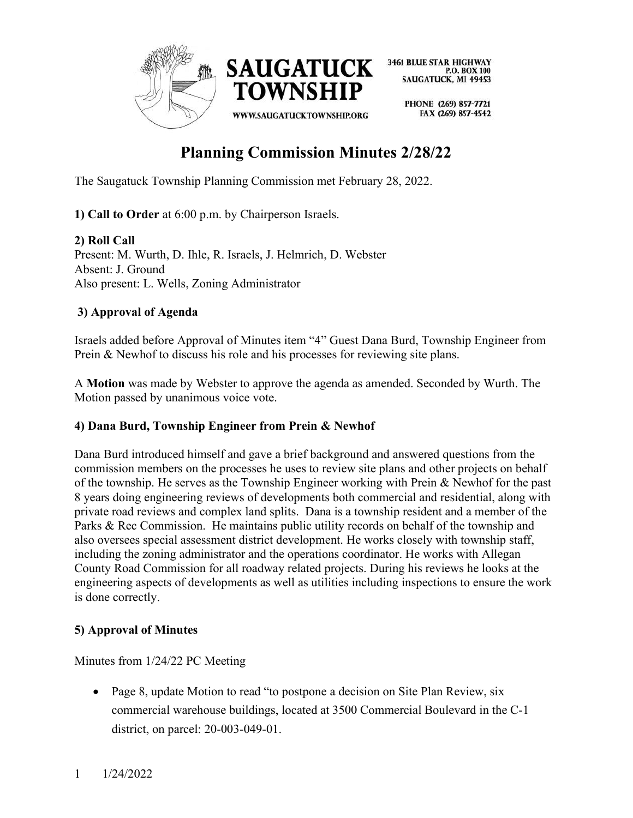

> PHONE (269) 857-7721 FAX (269) 857-4542

# Planning Commission Minutes 2/28/22

The Saugatuck Township Planning Commission met February 28, 2022.

1) Call to Order at 6:00 p.m. by Chairperson Israels.

2) Roll Call Present: M. Wurth, D. Ihle, R. Israels, J. Helmrich, D. Webster Absent: J. Ground Also present: L. Wells, Zoning Administrator

## 3) Approval of Agenda

Israels added before Approval of Minutes item "4" Guest Dana Burd, Township Engineer from Prein & Newhof to discuss his role and his processes for reviewing site plans.

A Motion was made by Webster to approve the agenda as amended. Seconded by Wurth. The Motion passed by unanimous voice vote.

## 4) Dana Burd, Township Engineer from Prein & Newhof

Dana Burd introduced himself and gave a brief background and answered questions from the commission members on the processes he uses to review site plans and other projects on behalf of the township. He serves as the Township Engineer working with Prein & Newhof for the past 8 years doing engineering reviews of developments both commercial and residential, along with private road reviews and complex land splits. Dana is a township resident and a member of the Parks & Rec Commission. He maintains public utility records on behalf of the township and also oversees special assessment district development. He works closely with township staff, including the zoning administrator and the operations coordinator. He works with Allegan County Road Commission for all roadway related projects. During his reviews he looks at the engineering aspects of developments as well as utilities including inspections to ensure the work is done correctly.

## 5) Approval of Minutes

Minutes from 1/24/22 PC Meeting

• Page 8, update Motion to read "to postpone a decision on Site Plan Review, six commercial warehouse buildings, located at 3500 Commercial Boulevard in the C-1 district, on parcel: 20-003-049-01.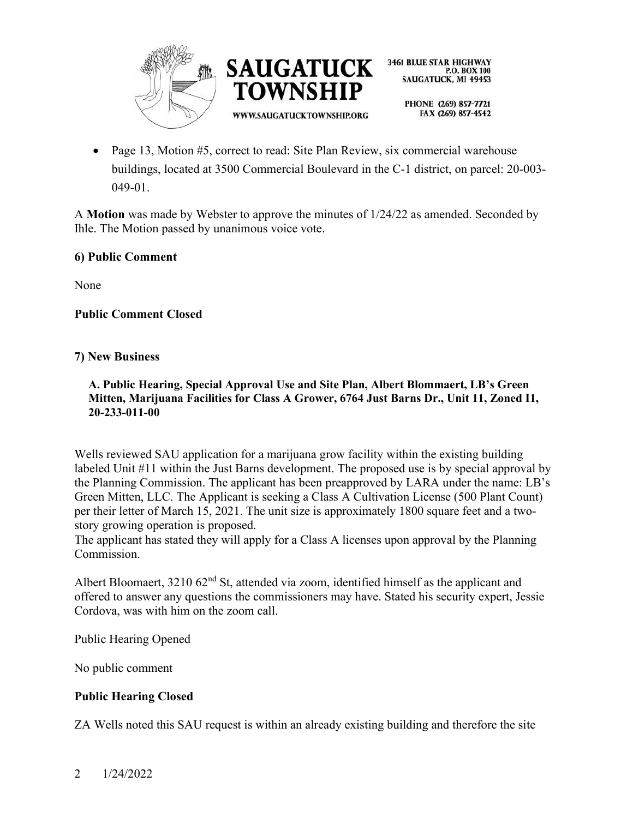



> PHONE (269) 857-7721 FAX (269) 857-4542

• Page 13, Motion  $#5$ , correct to read: Site Plan Review, six commercial warehouse buildings, located at 3500 Commercial Boulevard in the C-1 district, on parcel: 20-003- 049-01.

A Motion was made by Webster to approve the minutes of 1/24/22 as amended. Seconded by Ihle. The Motion passed by unanimous voice vote.

#### 6) Public Comment

None

## Public Comment Closed

#### 7) New Business

#### A. Public Hearing, Special Approval Use and Site Plan, Albert Blommaert, LB's Green Mitten, Marijuana Facilities for Class A Grower, 6764 Just Barns Dr., Unit 11, Zoned I1, 20-233-011-00

Wells reviewed SAU application for a marijuana grow facility within the existing building labeled Unit #11 within the Just Barns development. The proposed use is by special approval by the Planning Commission. The applicant has been preapproved by LARA under the name: LB's Green Mitten, LLC. The Applicant is seeking a Class A Cultivation License (500 Plant Count) per their letter of March 15, 2021. The unit size is approximately 1800 square feet and a twostory growing operation is proposed.

The applicant has stated they will apply for a Class A licenses upon approval by the Planning Commission.

Albert Bloomaert,  $321062<sup>nd</sup>$  St, attended via zoom, identified himself as the applicant and offered to answer any questions the commissioners may have. Stated his security expert, Jessie Cordova, was with him on the zoom call.

Public Hearing Opened

No public comment

## Public Hearing Closed

ZA Wells noted this SAU request is within an already existing building and therefore the site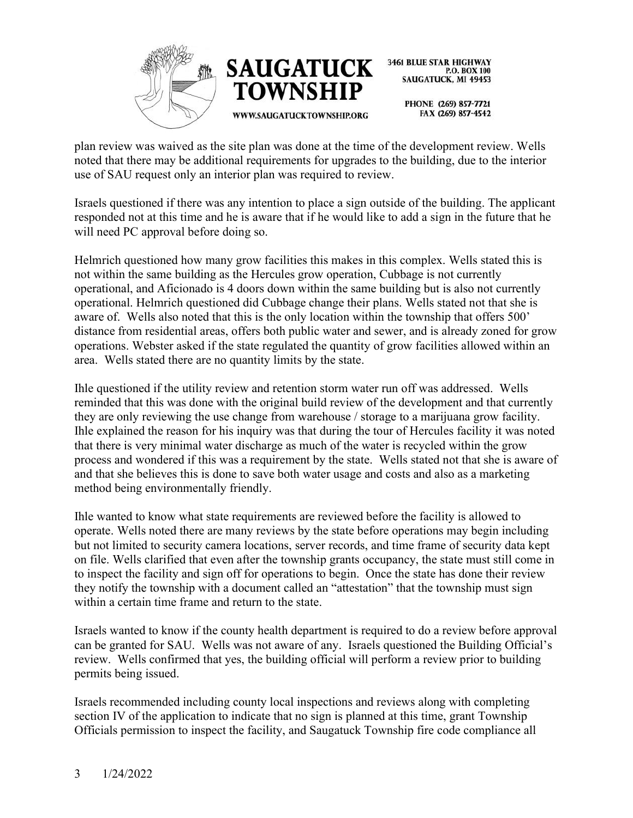



> PHONE (269) 857-7721 FAX (269) 857-4542

plan review was waived as the site plan was done at the time of the development review. Wells noted that there may be additional requirements for upgrades to the building, due to the interior use of SAU request only an interior plan was required to review.

Israels questioned if there was any intention to place a sign outside of the building. The applicant responded not at this time and he is aware that if he would like to add a sign in the future that he will need PC approval before doing so.

Helmrich questioned how many grow facilities this makes in this complex. Wells stated this is not within the same building as the Hercules grow operation, Cubbage is not currently operational, and Aficionado is 4 doors down within the same building but is also not currently operational. Helmrich questioned did Cubbage change their plans. Wells stated not that she is aware of. Wells also noted that this is the only location within the township that offers 500' distance from residential areas, offers both public water and sewer, and is already zoned for grow operations. Webster asked if the state regulated the quantity of grow facilities allowed within an area. Wells stated there are no quantity limits by the state.

Ihle questioned if the utility review and retention storm water run off was addressed. Wells reminded that this was done with the original build review of the development and that currently they are only reviewing the use change from warehouse / storage to a marijuana grow facility. Ihle explained the reason for his inquiry was that during the tour of Hercules facility it was noted that there is very minimal water discharge as much of the water is recycled within the grow process and wondered if this was a requirement by the state. Wells stated not that she is aware of and that she believes this is done to save both water usage and costs and also as a marketing method being environmentally friendly.

Ihle wanted to know what state requirements are reviewed before the facility is allowed to operate. Wells noted there are many reviews by the state before operations may begin including but not limited to security camera locations, server records, and time frame of security data kept on file. Wells clarified that even after the township grants occupancy, the state must still come in to inspect the facility and sign off for operations to begin. Once the state has done their review they notify the township with a document called an "attestation" that the township must sign within a certain time frame and return to the state.

Israels wanted to know if the county health department is required to do a review before approval can be granted for SAU. Wells was not aware of any. Israels questioned the Building Official's review. Wells confirmed that yes, the building official will perform a review prior to building permits being issued.

Israels recommended including county local inspections and reviews along with completing section IV of the application to indicate that no sign is planned at this time, grant Township Officials permission to inspect the facility, and Saugatuck Township fire code compliance all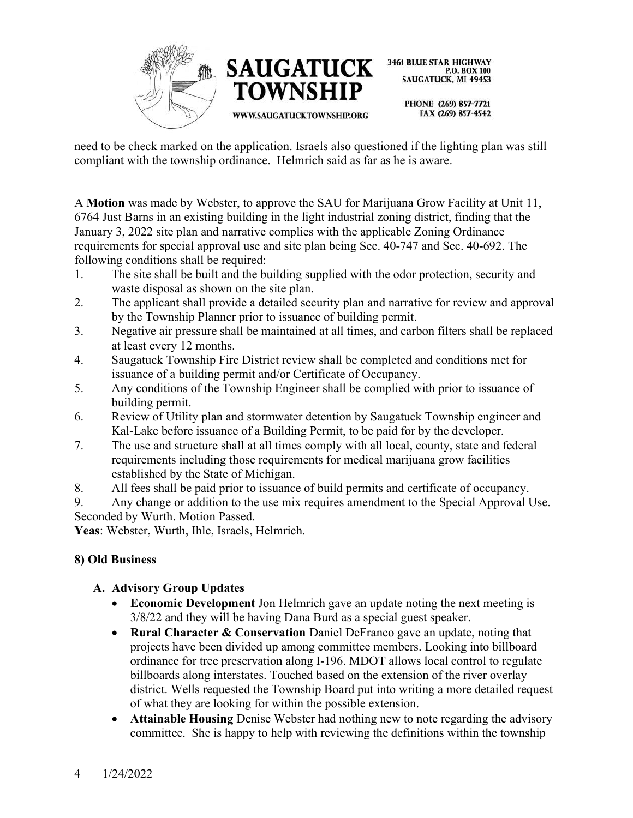



> PHONE (269) 857-7721 FAX (269) 857-4542

need to be check marked on the application. Israels also questioned if the lighting plan was still compliant with the township ordinance. Helmrich said as far as he is aware.

A Motion was made by Webster, to approve the SAU for Marijuana Grow Facility at Unit 11, 6764 Just Barns in an existing building in the light industrial zoning district, finding that the January 3, 2022 site plan and narrative complies with the applicable Zoning Ordinance requirements for special approval use and site plan being Sec. 40-747 and Sec. 40-692. The following conditions shall be required:

- 1. The site shall be built and the building supplied with the odor protection, security and waste disposal as shown on the site plan.
- 2. The applicant shall provide a detailed security plan and narrative for review and approval by the Township Planner prior to issuance of building permit.
- 3. Negative air pressure shall be maintained at all times, and carbon filters shall be replaced at least every 12 months.
- 4. Saugatuck Township Fire District review shall be completed and conditions met for issuance of a building permit and/or Certificate of Occupancy.
- 5. Any conditions of the Township Engineer shall be complied with prior to issuance of building permit.
- 6. Review of Utility plan and stormwater detention by Saugatuck Township engineer and Kal-Lake before issuance of a Building Permit, to be paid for by the developer.
- 7. The use and structure shall at all times comply with all local, county, state and federal requirements including those requirements for medical marijuana grow facilities established by the State of Michigan.
- 8. All fees shall be paid prior to issuance of build permits and certificate of occupancy.

9. Any change or addition to the use mix requires amendment to the Special Approval Use. Seconded by Wurth. Motion Passed.

Yeas: Webster, Wurth, Ihle, Israels, Helmrich.

## 8) Old Business

## A. Advisory Group Updates

- Economic Development Jon Helmrich gave an update noting the next meeting is 3/8/22 and they will be having Dana Burd as a special guest speaker.
- Rural Character  $\&$  Conservation Daniel DeFranco gave an update, noting that projects have been divided up among committee members. Looking into billboard ordinance for tree preservation along I-196. MDOT allows local control to regulate billboards along interstates. Touched based on the extension of the river overlay district. Wells requested the Township Board put into writing a more detailed request of what they are looking for within the possible extension.
- Attainable Housing Denise Webster had nothing new to note regarding the advisory committee. She is happy to help with reviewing the definitions within the township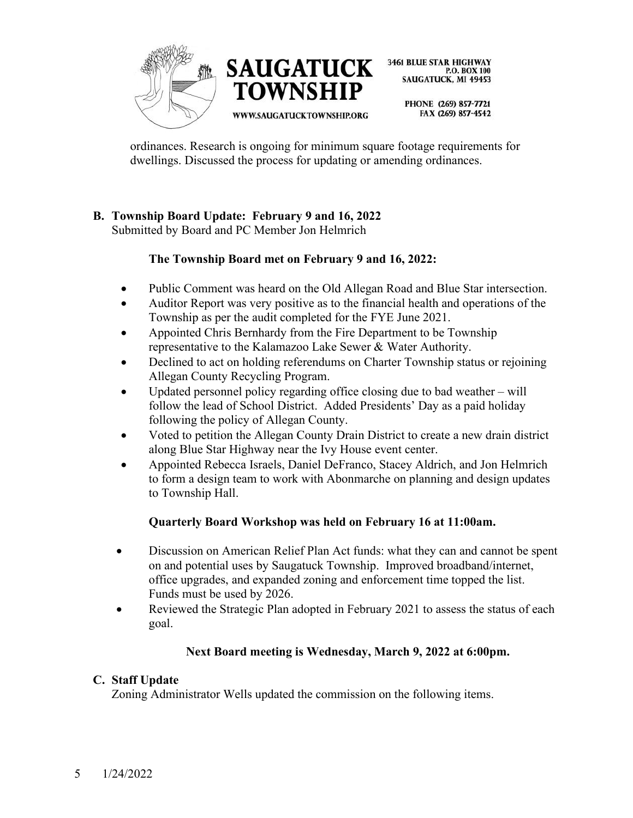



> PHONE (269) 857-7721 FAX (269) 857-4542

ordinances. Research is ongoing for minimum square footage requirements for dwellings. Discussed the process for updating or amending ordinances.

## B. Township Board Update: February 9 and 16, 2022

Submitted by Board and PC Member Jon Helmrich

## The Township Board met on February 9 and 16, 2022:

- Public Comment was heard on the Old Allegan Road and Blue Star intersection.
- Auditor Report was very positive as to the financial health and operations of the Township as per the audit completed for the FYE June 2021.
- Appointed Chris Bernhardy from the Fire Department to be Township representative to the Kalamazoo Lake Sewer & Water Authority.
- Declined to act on holding referendums on Charter Township status or rejoining Allegan County Recycling Program.
- Updated personnel policy regarding office closing due to bad weather will follow the lead of School District. Added Presidents' Day as a paid holiday following the policy of Allegan County.
- Voted to petition the Allegan County Drain District to create a new drain district along Blue Star Highway near the Ivy House event center.
- Appointed Rebecca Israels, Daniel DeFranco, Stacey Aldrich, and Jon Helmrich to form a design team to work with Abonmarche on planning and design updates to Township Hall.

## Quarterly Board Workshop was held on February 16 at 11:00am.

- Discussion on American Relief Plan Act funds: what they can and cannot be spent on and potential uses by Saugatuck Township. Improved broadband/internet, office upgrades, and expanded zoning and enforcement time topped the list. Funds must be used by 2026.
- Reviewed the Strategic Plan adopted in February 2021 to assess the status of each goal.

## Next Board meeting is Wednesday, March 9, 2022 at 6:00pm.

## C. Staff Update

Zoning Administrator Wells updated the commission on the following items.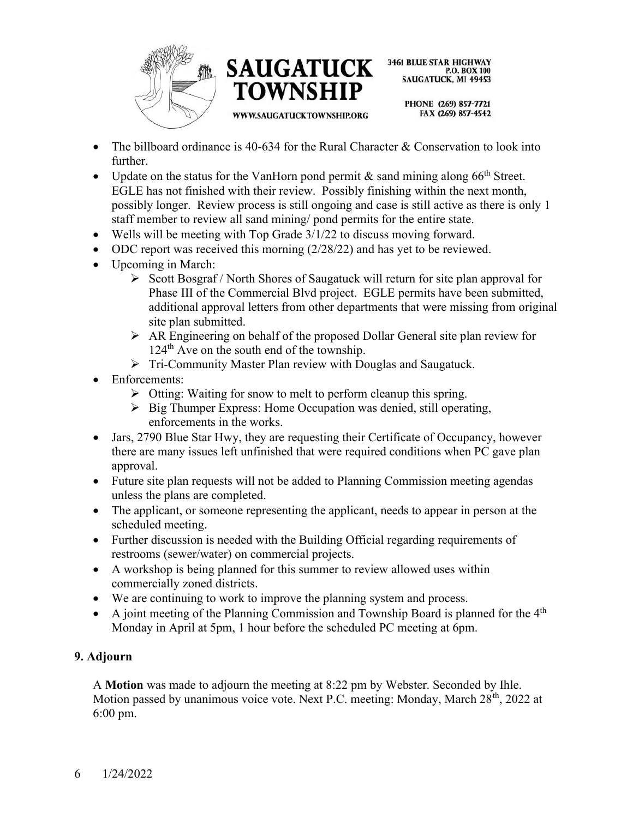



> PHONE (269) 857-7721 FAX (269) 857-4542

- The billboard ordinance is 40-634 for the Rural Character & Conservation to look into further.
- Update on the status for the VanHorn pond permit  $\&$  sand mining along 66<sup>th</sup> Street. EGLE has not finished with their review. Possibly finishing within the next month, possibly longer. Review process is still ongoing and case is still active as there is only 1 staff member to review all sand mining/ pond permits for the entire state.
- Wells will be meeting with Top Grade 3/1/22 to discuss moving forward.
- ODC report was received this morning (2/28/22) and has yet to be reviewed.
- Upcoming in March:
	- $\triangleright$  Scott Bosgraf / North Shores of Saugatuck will return for site plan approval for Phase III of the Commercial Blvd project. EGLE permits have been submitted, additional approval letters from other departments that were missing from original site plan submitted.
	- AR Engineering on behalf of the proposed Dollar General site plan review for 124<sup>th</sup> Ave on the south end of the township.
	- Tri-Community Master Plan review with Douglas and Saugatuck.
- Enforcements:
	- $\triangleright$  Otting: Waiting for snow to melt to perform cleanup this spring.
	- $\triangleright$  Big Thumper Express: Home Occupation was denied, still operating, enforcements in the works.
- Jars, 2790 Blue Star Hwy, they are requesting their Certificate of Occupancy, however there are many issues left unfinished that were required conditions when PC gave plan approval.
- Future site plan requests will not be added to Planning Commission meeting agendas unless the plans are completed.
- The applicant, or someone representing the applicant, needs to appear in person at the scheduled meeting.
- Further discussion is needed with the Building Official regarding requirements of restrooms (sewer/water) on commercial projects.
- A workshop is being planned for this summer to review allowed uses within commercially zoned districts.
- We are continuing to work to improve the planning system and process.
- A joint meeting of the Planning Commission and Township Board is planned for the  $4<sup>th</sup>$ Monday in April at 5pm, 1 hour before the scheduled PC meeting at 6pm.

## 9. Adjourn

A Motion was made to adjourn the meeting at 8:22 pm by Webster. Seconded by Ihle. Motion passed by unanimous voice vote. Next P.C. meeting: Monday, March 28<sup>th</sup>, 2022 at 6:00 pm.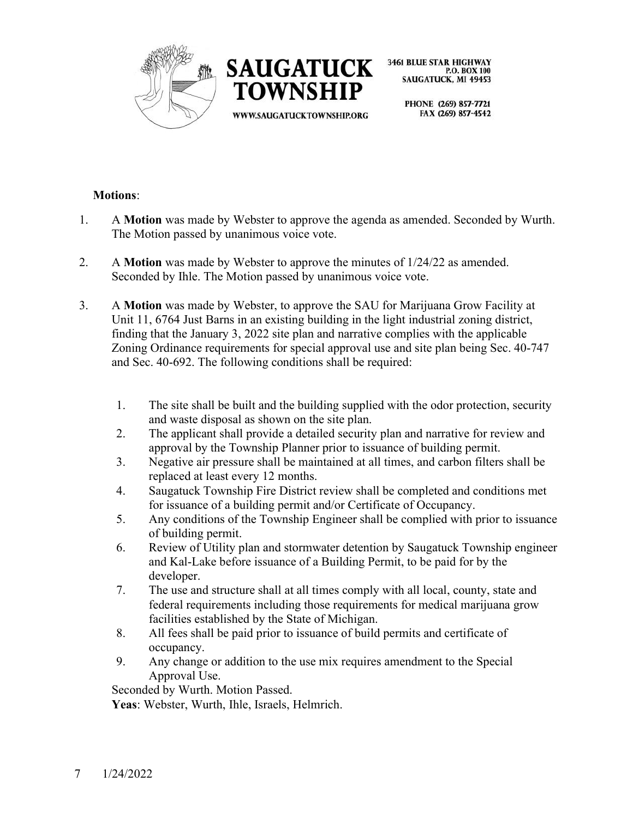



> PHONE (269) 857-7721 FAX (269) 857-4542

#### Motions:

- 1. A Motion was made by Webster to approve the agenda as amended. Seconded by Wurth. The Motion passed by unanimous voice vote.
- 2. A Motion was made by Webster to approve the minutes of 1/24/22 as amended. Seconded by Ihle. The Motion passed by unanimous voice vote.
- 3. A Motion was made by Webster, to approve the SAU for Marijuana Grow Facility at Unit 11, 6764 Just Barns in an existing building in the light industrial zoning district, finding that the January 3, 2022 site plan and narrative complies with the applicable Zoning Ordinance requirements for special approval use and site plan being Sec. 40-747 and Sec. 40-692. The following conditions shall be required:
	- 1. The site shall be built and the building supplied with the odor protection, security and waste disposal as shown on the site plan.
	- 2. The applicant shall provide a detailed security plan and narrative for review and approval by the Township Planner prior to issuance of building permit.
	- 3. Negative air pressure shall be maintained at all times, and carbon filters shall be replaced at least every 12 months.
	- 4. Saugatuck Township Fire District review shall be completed and conditions met for issuance of a building permit and/or Certificate of Occupancy.
	- 5. Any conditions of the Township Engineer shall be complied with prior to issuance of building permit.
	- 6. Review of Utility plan and stormwater detention by Saugatuck Township engineer and Kal-Lake before issuance of a Building Permit, to be paid for by the developer.
	- 7. The use and structure shall at all times comply with all local, county, state and federal requirements including those requirements for medical marijuana grow facilities established by the State of Michigan.
	- 8. All fees shall be paid prior to issuance of build permits and certificate of occupancy.
	- 9. Any change or addition to the use mix requires amendment to the Special Approval Use.

Seconded by Wurth. Motion Passed.

Yeas: Webster, Wurth, Ihle, Israels, Helmrich.